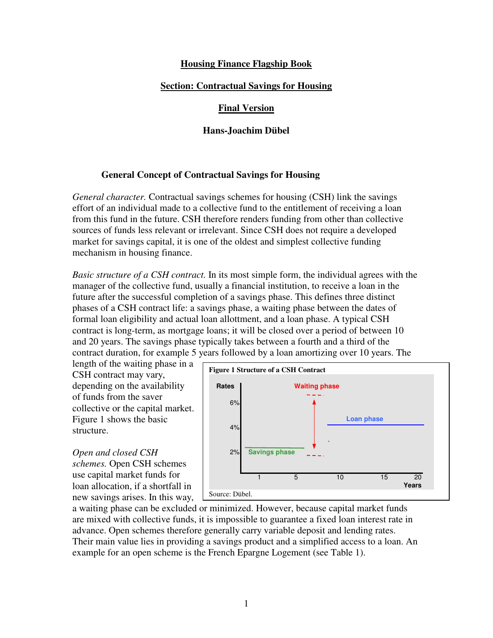# **Housing Finance Flagship Book**

# **Section: Contractual Savings for Housing**

# **Final Version**

# **Hans-Joachim Dübel**

# **General Concept of Contractual Savings for Housing**

*General character.* Contractual savings schemes for housing (CSH) link the savings effort of an individual made to a collective fund to the entitlement of receiving a loan from this fund in the future. CSH therefore renders funding from other than collective sources of funds less relevant or irrelevant. Since CSH does not require a developed market for savings capital, it is one of the oldest and simplest collective funding mechanism in housing finance.

*Basic structure of a CSH contract.* In its most simple form, the individual agrees with the manager of the collective fund, usually a financial institution, to receive a loan in the future after the successful completion of a savings phase. This defines three distinct phases of a CSH contract life: a savings phase, a waiting phase between the dates of formal loan eligibility and actual loan allottment, and a loan phase. A typical CSH contract is long-term, as mortgage loans; it will be closed over a period of between 10 and 20 years. The savings phase typically takes between a fourth and a third of the contract duration, for example 5 years followed by a loan amortizing over 10 years. The

length of the waiting phase in a CSH contract may vary, depending on the availability of funds from the saver collective or the capital market. Figure 1 shows the basic structure.

*Open and closed CSH schemes.* Open CSH schemes use capital market funds for loan allocation, if a shortfall in new savings arises. In this way,



a waiting phase can be excluded or minimized. However, because capital market funds are mixed with collective funds, it is impossible to guarantee a fixed loan interest rate in advance. Open schemes therefore generally carry variable deposit and lending rates. Their main value lies in providing a savings product and a simplified access to a loan. An example for an open scheme is the French Epargne Logement (see Table 1).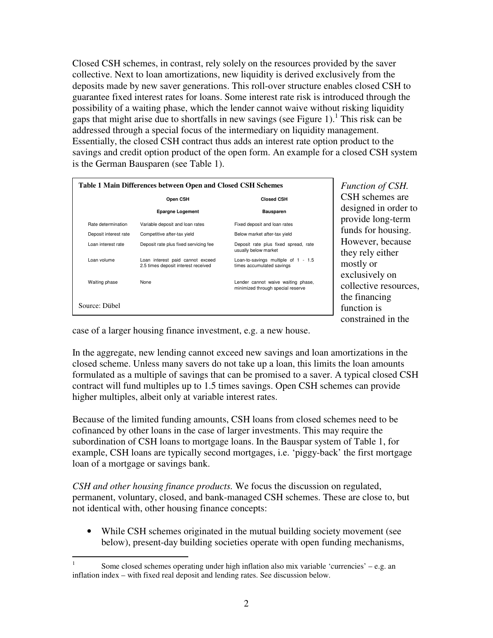Closed CSH schemes, in contrast, rely solely on the resources provided by the saver collective. Next to loan amortizations, new liquidity is derived exclusively from the deposits made by new saver generations. This roll-over structure enables closed CSH to guarantee fixed interest rates for loans. Some interest rate risk is introduced through the possibility of a waiting phase, which the lender cannot waive without risking liquidity gaps that might arise due to shortfalls in new savings (see Figure 1).<sup>1</sup> This risk can be addressed through a special focus of the intermediary on liquidity management. Essentially, the closed CSH contract thus adds an interest rate option product to the savings and credit option product of the open form. An example for a closed CSH system is the German Bausparen (see Table 1).

| Table 1 Main Differences between Open and Closed CSH Schemes |                                                                         |                                                                         |
|--------------------------------------------------------------|-------------------------------------------------------------------------|-------------------------------------------------------------------------|
|                                                              | Open CSH                                                                | <b>Closed CSH</b>                                                       |
|                                                              | <b>Epargne Logement</b>                                                 | <b>Bausparen</b>                                                        |
| Rate determination                                           | Variable deposit and loan rates                                         | Fixed deposit and loan rates                                            |
| Deposit interest rate                                        | Competitive after-tax yield                                             | Below market after-tax yield                                            |
| Loan interest rate                                           | Deposit rate plus fixed servicing fee                                   | Deposit rate plus fixed spread, rate<br>usually below market            |
| Loan volume                                                  | Loan interest paid cannot exceed<br>2.5 times deposit interest received | Loan-to-savings multiple of 1 - 1.5<br>times accumulated savings        |
| Waiting phase                                                | None                                                                    | Lender cannot waive waiting phase,<br>minimized through special reserve |
| Source: Diibel                                               |                                                                         |                                                                         |

*Function of CSH.*  CSH schemes are designed in order to provide long-term funds for housing. However, because they rely either mostly or exclusively on collective resources, the financing function is constrained in the

case of a larger housing finance investment, e.g. a new house.

In the aggregate, new lending cannot exceed new savings and loan amortizations in the closed scheme. Unless many savers do not take up a loan, this limits the loan amounts formulated as a multiple of savings that can be promised to a saver. A typical closed CSH contract will fund multiples up to 1.5 times savings. Open CSH schemes can provide higher multiples, albeit only at variable interest rates.

Because of the limited funding amounts, CSH loans from closed schemes need to be cofinanced by other loans in the case of larger investments. This may require the subordination of CSH loans to mortgage loans. In the Bauspar system of Table 1, for example, CSH loans are typically second mortgages, i.e. 'piggy-back' the first mortgage loan of a mortgage or savings bank.

*CSH and other housing finance products.* We focus the discussion on regulated, permanent, voluntary, closed, and bank-managed CSH schemes. These are close to, but not identical with, other housing finance concepts:

• While CSH schemes originated in the mutual building society movement (see below), present-day building societies operate with open funding mechanisms,

 $\frac{1}{1}$  Some closed schemes operating under high inflation also mix variable 'currencies' – e.g. an inflation index – with fixed real deposit and lending rates. See discussion below.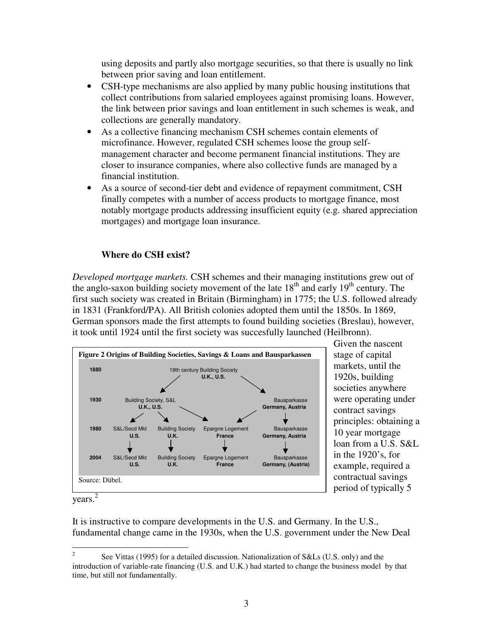using deposits and partly also mortgage securities, so that there is usually no link between prior saving and loan entitlement.

- CSH-type mechanisms are also applied by many public housing institutions that collect contributions from salaried employees against promising loans. However, the link between prior savings and loan entitlement in such schemes is weak, and collections are generally mandatory.
- As a collective financing mechanism CSH schemes contain elements of microfinance. However, regulated CSH schemes loose the group selfmanagement character and become permanent financial institutions. They are closer to insurance companies, where also collective funds are managed by a financial institution.
- As a source of second-tier debt and evidence of repayment commitment, CSH finally competes with a number of access products to mortgage finance, most notably mortgage products addressing insufficient equity (e.g. shared appreciation mortgages) and mortgage loan insurance.

# **Where do CSH exist?**

*Developed mortgage markets.* CSH schemes and their managing institutions grew out of the anglo-saxon building society movement of the late  $18<sup>th</sup>$  and early  $19<sup>th</sup>$  century. The first such society was created in Britain (Birmingham) in 1775; the U.S. followed already in 1831 (Frankford/PA). All British colonies adopted them until the 1850s. In 1869, German sponsors made the first attempts to found building societies (Breslau), however, it took until 1924 until the first society was succesfully launched (Heilbronn).



Given the nascent stage of capital markets, until the 1920s, building societies anywhere were operating under contract savings principles: obtaining a 10 year mortgage loan from a U.S. S&L in the 1920's, for example, required a contractual savings period of typically 5

years. 2

It is instructive to compare developments in the U.S. and Germany. In the U.S., fundamental change came in the 1930s, when the U.S. government under the New Deal

 $\frac{1}{2}$  See Vittas (1995) for a detailed discussion. Nationalization of S&Ls (U.S. only) and the introduction of variable-rate financing (U.S. and U.K.) had started to change the business model by that time, but still not fundamentally.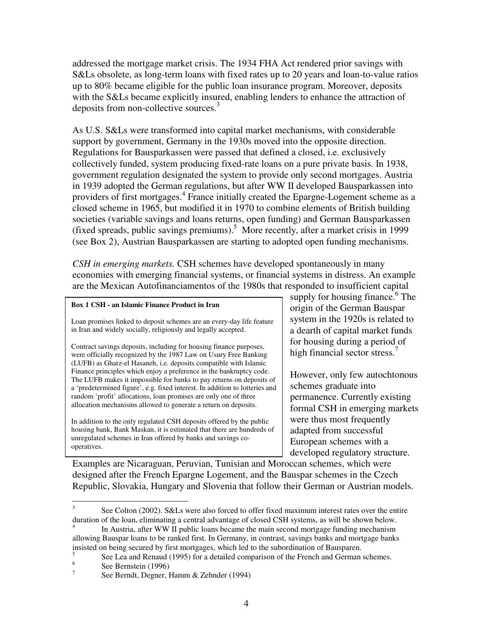addressed the mortgage market crisis. The 1934 FHA Act rendered prior savings with S&Ls obsolete, as long-term loans with fixed rates up to 20 years and loan-to-value ratios up to 80% became eligible for the public loan insurance program. Moreover, deposits with the S&Ls became explicitly insured, enabling lenders to enhance the attraction of deposits from non-collective sources.<sup>3</sup>

As U.S. S&Ls were transformed into capital market mechanisms, with considerable support by government, Germany in the 1930s moved into the opposite direction. Regulations for Bausparkassen were passed that defined a closed, i.e. exclusively collectively funded, system producing fixed-rate loans on a pure private basis. In 1938, government regulation designated the system to provide only second mortgages. Austria in 1939 adopted the German regulations, but after WW II developed Bausparkassen into providers of first mortgages.<sup>4</sup> France initially created the Epargne-Logement scheme as a closed scheme in 1965, but modified it in 1970 to combine elements of British building societies (variable savings and loans returns, open funding) and German Bausparkassen (fixed spreads, public savings premiums).<sup>5</sup> More recently, after a market crisis in 1999 (see Box 2), Austrian Bausparkassen are starting to adopted open funding mechanisms.

*CSH in emerging markets.* CSH schemes have developed spontaneously in many economies with emerging financial systems, or financial systems in distress. An example are the Mexican Autofinanciamentos of the 1980s that responded to insufficient capital

#### **Box 1 CSH - an Islamic Finance Product in Iran**

Loan promises linked to deposit schemes are an every-day life feature in Iran and widely socially, religiously and legally accepted.

Contract savings deposits, including for housing finance purposes, were officially recognized by the 1987 Law on Usury Free Banking (LUFB) as Gharz-el Hasaneh, i.e. deposits compatible with Islamic Finance principles which enjoy a preference in the bankruptcy code. The LUFB makes it impossible for banks to pay returns on deposits of a 'predetermined figure', e.g. fixed interest. In addition to lotteries and random 'profit' allocations, loan promises are only one of three allocation mechanisms allowed to generate a return on deposits.

In addition to the only regulated CSH deposits offered by the public housing bank, Bank Maskan, it is estimated that there are hundreds of unregulated schemes in Iran offered by banks and savings cooperatives.

supply for housing finance.<sup>6</sup> The origin of the German Bauspar system in the 1920s is related to a dearth of capital market funds for housing during a period of high financial sector stress.<sup>7</sup>

However, only few autochtonous schemes graduate into permanence. Currently existing formal CSH in emerging markets were thus most frequently adapted from successful European schemes with a developed regulatory structure.

Examples are Nicaraguan, Peruvian, Tunisian and Moroccan schemes, which were designed after the French Epargne Logement, and the Bauspar schemes in the Czech Republic, Slovakia, Hungary and Slovenia that follow their German or Austrian models.

 $\overline{a}$ 

<sup>3</sup> See Colton (2002). S&Ls were also forced to offer fixed maximum interest rates over the entire duration of the loan, eliminating a central advantage of closed CSH systems, as will be shown below.

<sup>4</sup> In Austria, after WW II public loans became the main second mortgage funding mechanism allowing Bauspar loans to be ranked first. In Germany, in contrast, savings banks and mortgage banks insisted on being secured by first mortgages, which led to the subordination of Bausparen.

<sup>5</sup> See Lea and Renaud (1995) for a detailed comparison of the French and German schemes.

<sup>6</sup> See Bernstein (1996)

<sup>7</sup> See Berndt, Degner, Hamm & Zehnder (1994)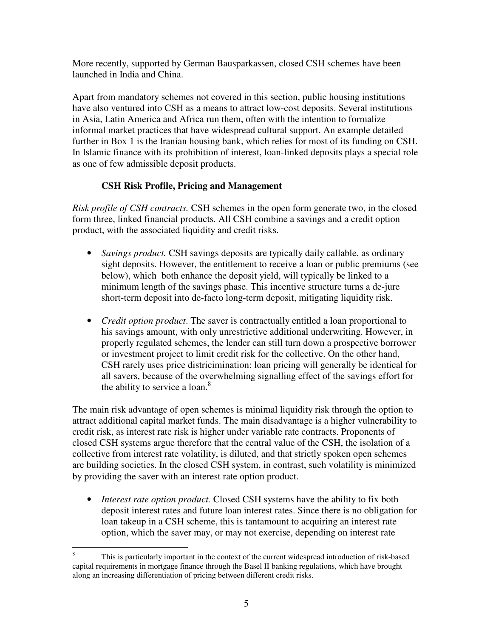More recently, supported by German Bausparkassen, closed CSH schemes have been launched in India and China.

Apart from mandatory schemes not covered in this section, public housing institutions have also ventured into CSH as a means to attract low-cost deposits. Several institutions in Asia, Latin America and Africa run them, often with the intention to formalize informal market practices that have widespread cultural support. An example detailed further in Box 1 is the Iranian housing bank, which relies for most of its funding on CSH. In Islamic finance with its prohibition of interest, loan-linked deposits plays a special role as one of few admissible deposit products.

# **CSH Risk Profile, Pricing and Management**

*Risk profile of CSH contracts.* CSH schemes in the open form generate two, in the closed form three, linked financial products. All CSH combine a savings and a credit option product, with the associated liquidity and credit risks.

- *Savings product.* CSH savings deposits are typically daily callable, as ordinary sight deposits. However, the entitlement to receive a loan or public premiums (see below), which both enhance the deposit yield, will typically be linked to a minimum length of the savings phase. This incentive structure turns a de-jure short-term deposit into de-facto long-term deposit, mitigating liquidity risk.
- *Credit option product*. The saver is contractually entitled a loan proportional to his savings amount, with only unrestrictive additional underwriting. However, in properly regulated schemes, the lender can still turn down a prospective borrower or investment project to limit credit risk for the collective. On the other hand, CSH rarely uses price districimination: loan pricing will generally be identical for all savers, because of the overwhelming signalling effect of the savings effort for the ability to service a loan.<sup>8</sup>

The main risk advantage of open schemes is minimal liquidity risk through the option to attract additional capital market funds. The main disadvantage is a higher vulnerability to credit risk, as interest rate risk is higher under variable rate contracts. Proponents of closed CSH systems argue therefore that the central value of the CSH, the isolation of a collective from interest rate volatility, is diluted, and that strictly spoken open schemes are building societies. In the closed CSH system, in contrast, such volatility is minimized by providing the saver with an interest rate option product.

• *Interest rate option product*. Closed CSH systems have the ability to fix both deposit interest rates and future loan interest rates. Since there is no obligation for loan takeup in a CSH scheme, this is tantamount to acquiring an interest rate option, which the saver may, or may not exercise, depending on interest rate

 8 This is particularly important in the context of the current widespread introduction of risk-based capital requirements in mortgage finance through the Basel II banking regulations, which have brought along an increasing differentiation of pricing between different credit risks.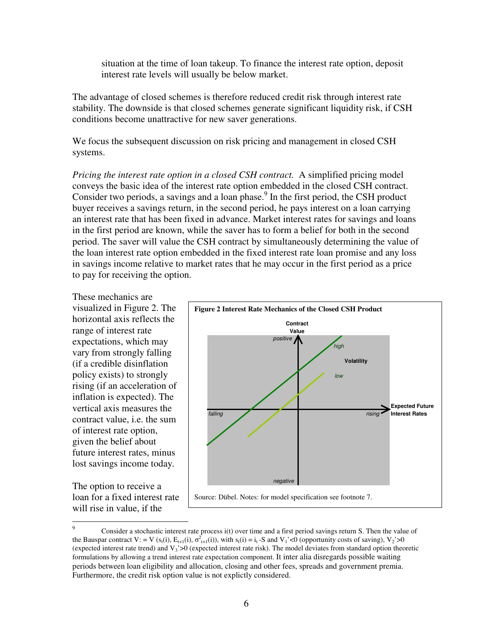situation at the time of loan takeup. To finance the interest rate option, deposit interest rate levels will usually be below market.

The advantage of closed schemes is therefore reduced credit risk through interest rate stability. The downside is that closed schemes generate significant liquidity risk, if CSH conditions become unattractive for new saver generations.

We focus the subsequent discussion on risk pricing and management in closed CSH systems.

*Pricing the interest rate option in a closed CSH contract.* A simplified pricing model conveys the basic idea of the interest rate option embedded in the closed CSH contract. Consider two periods, a savings and a loan phase.<sup>9</sup> In the first period, the CSH product buyer receives a savings return, in the second period, he pays interest on a loan carrying an interest rate that has been fixed in advance. Market interest rates for savings and loans in the first period are known, while the saver has to form a belief for both in the second period. The saver will value the CSH contract by simultaneously determining the value of the loan interest rate option embedded in the fixed interest rate loan promise and any loss in savings income relative to market rates that he may occur in the first period as a price to pay for receiving the option.

These mechanics are visualized in Figure 2. The horizontal axis reflects the range of interest rate expectations, which may vary from strongly falling (if a credible disinflation policy exists) to strongly rising (if an acceleration of inflation is expected). The vertical axis measures the contract value, i.e. the sum of interest rate option, given the belief about future interest rates, minus lost savings income today.

The option to receive a loan for a fixed interest rate will rise in value, if the



<sup>&</sup>lt;sup>9</sup> Consider a stochastic interest rate process i(t) over time and a first period savings return S. Then the value of the Bauspar contract V: = V ( $s_t(i)$ ,  $E_{t+1}(i)$ ,  $\sigma_{t+1}^2(i)$ ), with  $s_t(i) = i_t$ -S and V<sub>1</sub>'<0 (opportunity costs of saving), V<sub>2</sub>'>0 (expected interest rate trend) and  $V_3$ '>0 (expected interest rate risk). The model deviates from standard option theoretic formulations by allowing a trend interest rate expectation component. It inter alia disregards possible waiting periods between loan eligibility and allocation, closing and other fees, spreads and government premia. Furthermore, the credit risk option value is not explictly considered.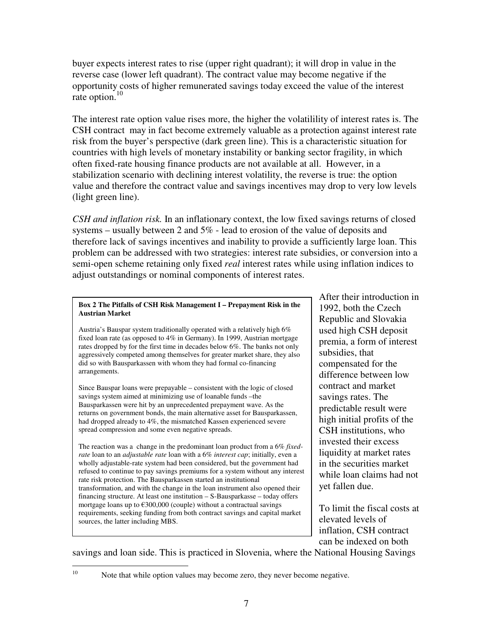buyer expects interest rates to rise (upper right quadrant); it will drop in value in the reverse case (lower left quadrant). The contract value may become negative if the opportunity costs of higher remunerated savings today exceed the value of the interest rate option. $10$ 

The interest rate option value rises more, the higher the volatilility of interest rates is. The CSH contract may in fact become extremely valuable as a protection against interest rate risk from the buyer's perspective (dark green line). This is a characteristic situation for countries with high levels of monetary instability or banking sector fragility, in which often fixed-rate housing finance products are not available at all. However, in a stabilization scenario with declining interest volatility, the reverse is true: the option value and therefore the contract value and savings incentives may drop to very low levels (light green line).

*CSH and inflation risk.* In an inflationary context, the low fixed savings returns of closed systems – usually between 2 and 5% - lead to erosion of the value of deposits and therefore lack of savings incentives and inability to provide a sufficiently large loan. This problem can be addressed with two strategies: interest rate subsidies, or conversion into a semi-open scheme retaining only fixed *real* interest rates while using inflation indices to adjust outstandings or nominal components of interest rates.

#### **Box 2 The Pitfalls of CSH Risk Management I – Prepayment Risk in the Austrian Market**

Austria's Bauspar system traditionally operated with a relatively high 6% fixed loan rate (as opposed to 4% in Germany). In 1999, Austrian mortgage rates dropped by for the first time in decades below 6%. The banks not only aggressively competed among themselves for greater market share, they also did so with Bausparkassen with whom they had formal co-financing arrangements.

Since Bauspar loans were prepayable – consistent with the logic of closed savings system aimed at minimizing use of loanable funds –the Bausparkassen were hit by an unprecedented prepayment wave. As the returns on government bonds, the main alternative asset for Bausparkassen, had dropped already to 4%, the mismatched Kassen experienced severe spread compression and some even negative spreads.

The reaction was a change in the predominant loan product from a 6% *fixedrate* loan to an *adjustable rate* loan with a 6% *interest cap*; initially, even a wholly adjustable-rate system had been considered, but the government had refused to continue to pay savings premiums for a system without any interest rate risk protection. The Bausparkassen started an institutional transformation, and with the change in the loan instrument also opened their financing structure. At least one institution – S-Bausparkasse – today offers mortgage loans up to €300,000 (couple) without a contractual savings requirements, seeking funding from both contract savings and capital market sources, the latter including MBS.

After their introduction in 1992, both the Czech Republic and Slovakia used high CSH deposit premia, a form of interest subsidies, that compensated for the difference between low contract and market savings rates. The predictable result were high initial profits of the CSH institutions, who invested their excess liquidity at market rates in the securities market while loan claims had not yet fallen due.

To limit the fiscal costs at elevated levels of inflation, CSH contract can be indexed on both

savings and loan side. This is practiced in Slovenia, where the National Housing Savings

 $10\,$ 

Note that while option values may become zero, they never become negative.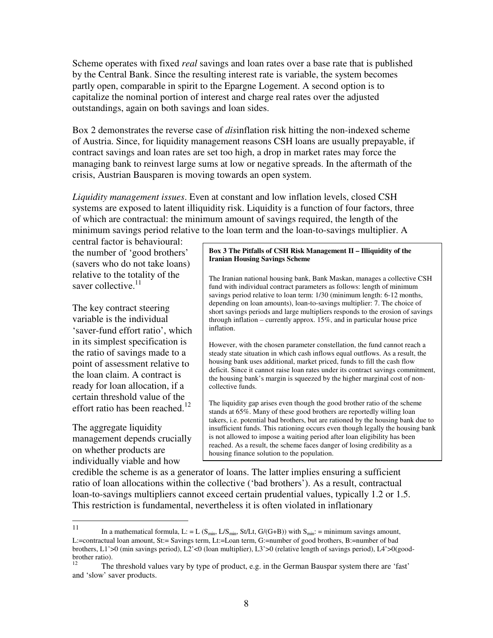Scheme operates with fixed *real* savings and loan rates over a base rate that is published by the Central Bank. Since the resulting interest rate is variable, the system becomes partly open, comparable in spirit to the Epargne Logement. A second option is to capitalize the nominal portion of interest and charge real rates over the adjusted outstandings, again on both savings and loan sides.

Box 2 demonstrates the reverse case of *dis*inflation risk hitting the non-indexed scheme of Austria. Since, for liquidity management reasons CSH loans are usually prepayable, if contract savings and loan rates are set too high, a drop in market rates may force the managing bank to reinvest large sums at low or negative spreads. In the aftermath of the crisis, Austrian Bausparen is moving towards an open system.

*Liquidity management issues*. Even at constant and low inflation levels, closed CSH systems are exposed to latent illiquidity risk. Liquidity is a function of four factors, three of which are contractual: the minimum amount of savings required, the length of the minimum savings period relative to the loan term and the loan-to-savings multiplier. A

central factor is behavioural: the number of 'good brothers' (savers who do not take loans) relative to the totality of the saver collective.<sup>11</sup>

The key contract steering variable is the individual 'saver-fund effort ratio', which in its simplest specification is the ratio of savings made to a point of assessment relative to the loan claim. A contract is ready for loan allocation, if a certain threshold value of the effort ratio has been reached.<sup>12</sup>

The aggregate liquidity management depends crucially on whether products are individually viable and how

#### **Box 3 The Pitfalls of CSH Risk Management II – Illiquidity of the Iranian Housing Savings Scheme**

The Iranian national housing bank, Bank Maskan, manages a collective CSH fund with individual contract parameters as follows: length of minimum savings period relative to loan term: 1/30 (minimum length: 6-12 months, depending on loan amounts), loan-to-savings multiplier: 7. The choice of short savings periods and large multipliers responds to the erosion of savings through inflation – currently approx. 15%, and in particular house price inflation.

However, with the chosen parameter constellation, the fund cannot reach a steady state situation in which cash inflows equal outflows. As a result, the housing bank uses additional, market priced, funds to fill the cash flow deficit. Since it cannot raise loan rates under its contract savings commitment, the housing bank's margin is squeezed by the higher marginal cost of noncollective funds.

The liquidity gap arises even though the good brother ratio of the scheme stands at 65%. Many of these good brothers are reportedly willing loan takers, i.e. potential bad brothers, but are rationed by the housing bank due to insufficient funds. This rationing occurs even though legally the housing bank is not allowed to impose a waiting period after loan eligibility has been reached. As a result, the scheme faces danger of losing credibility as a housing finance solution to the population.

credible the scheme is as a generator of loans. The latter implies ensuring a sufficient ratio of loan allocations within the collective ('bad brothers'). As a result, contractual loan-to-savings multipliers cannot exceed certain prudential values, typically 1.2 or 1.5. This restriction is fundamental, nevertheless it is often violated in inflationary

 11 In a mathematical formula, L: = L ( $S_{min}$ , L/ $S_{min}$ , St/Lt, G/(G+B)) with  $S_{min}$ : = minimum savings amount, L:=contractual loan amount, St:= Savings term, Lt:=Loan term, G:=number of good brothers, B:=number of bad brothers, L1'>0 (min savings period), L2'<0 (loan multiplier), L3'>0 (relative length of savings period), L4'>0(goodbrother ratio).<br> $\frac{12}{\text{The}}$ 

<sup>12</sup> The threshold values vary by type of product, e.g. in the German Bauspar system there are 'fast' and 'slow' saver products.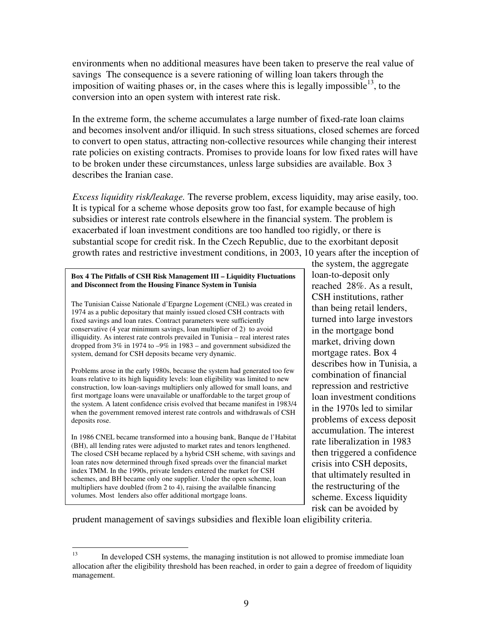environments when no additional measures have been taken to preserve the real value of savings The consequence is a severe rationing of willing loan takers through the imposition of waiting phases or, in the cases where this is legally impossible<sup>13</sup>, to the conversion into an open system with interest rate risk.

In the extreme form, the scheme accumulates a large number of fixed-rate loan claims and becomes insolvent and/or illiquid. In such stress situations, closed schemes are forced to convert to open status, attracting non-collective resources while changing their interest rate policies on existing contracts. Promises to provide loans for low fixed rates will have to be broken under these circumstances, unless large subsidies are available. Box 3 describes the Iranian case.

*Excess liquidity risk/leakage.* The reverse problem, excess liquidity, may arise easily, too. It is typical for a scheme whose deposits grow too fast, for example because of high subsidies or interest rate controls elsewhere in the financial system. The problem is exacerbated if loan investment conditions are too handled too rigidly, or there is substantial scope for credit risk. In the Czech Republic, due to the exorbitant deposit growth rates and restrictive investment conditions, in 2003, 10 years after the inception of

#### **Box 4 The Pitfalls of CSH Risk Management III – Liquidity Fluctuations and Disconnect from the Housing Finance System in Tunisia**

The Tunisian Caisse Nationale d'Epargne Logement (CNEL) was created in 1974 as a public depositary that mainly issued closed CSH contracts with fixed savings and loan rates. Contract parameters were sufficiently conservative (4 year minimum savings, loan multiplier of 2) to avoid illiquidity. As interest rate controls prevailed in Tunisia – real interest rates dropped from 3% in 1974 to –9% in 1983 – and government subsidized the system, demand for CSH deposits became very dynamic.

Problems arose in the early 1980s, because the system had generated too few loans relative to its high liquidity levels: loan eligibility was limited to new construction, low loan-savings multipliers only allowed for small loans, and first mortgage loans were unavailable or unaffordable to the target group of the system. A latent confidence crisis evolved that became manifest in 1983/4 when the government removed interest rate controls and withdrawals of CSH deposits rose.

In 1986 CNEL became transformed into a housing bank, Banque de l'Habitat (BH), all lending rates were adjusted to market rates and tenors lengthened. The closed CSH became replaced by a hybrid CSH scheme, with savings and loan rates now determined through fixed spreads over the financial market index TMM. In the 1990s, private lenders entered the market for CSH schemes, and BH became only one supplier. Under the open scheme, loan multipliers have doubled (from 2 to 4), raising the availalble financing volumes. Most lenders also offer additional mortgage loans.

the system, the aggregate loan-to-deposit only reached 28%. As a result, CSH institutions, rather than being retail lenders, turned into large investors in the mortgage bond market, driving down mortgage rates. Box 4 describes how in Tunisia, a combination of financial repression and restrictive loan investment conditions in the 1970s led to similar problems of excess deposit accumulation. The interest rate liberalization in 1983 then triggered a confidence crisis into CSH deposits, that ultimately resulted in the restructuring of the scheme. Excess liquidity risk can be avoided by

prudent management of savings subsidies and flexible loan eligibility criteria.

<sup>13</sup> In developed CSH systems, the managing institution is not allowed to promise immediate loan allocation after the eligibility threshold has been reached, in order to gain a degree of freedom of liquidity management.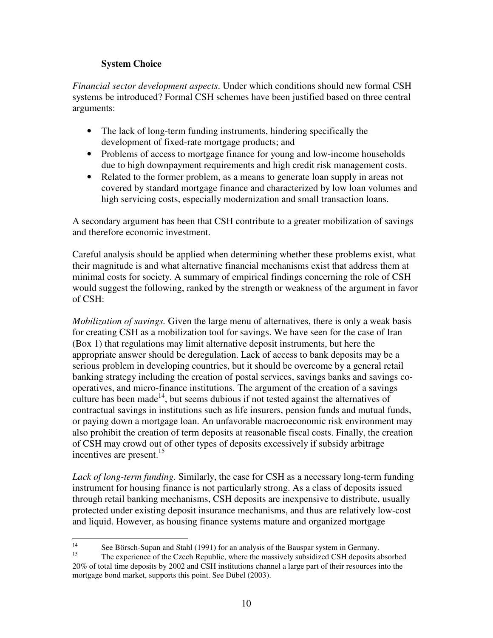# **System Choice**

*Financial sector development aspects*. Under which conditions should new formal CSH systems be introduced? Formal CSH schemes have been justified based on three central arguments:

- The lack of long-term funding instruments, hindering specifically the development of fixed-rate mortgage products; and
- Problems of access to mortgage finance for young and low-income households due to high downpayment requirements and high credit risk management costs.
- Related to the former problem, as a means to generate loan supply in areas not covered by standard mortgage finance and characterized by low loan volumes and high servicing costs, especially modernization and small transaction loans.

A secondary argument has been that CSH contribute to a greater mobilization of savings and therefore economic investment.

Careful analysis should be applied when determining whether these problems exist, what their magnitude is and what alternative financial mechanisms exist that address them at minimal costs for society. A summary of empirical findings concerning the role of CSH would suggest the following, ranked by the strength or weakness of the argument in favor of CSH:

*Mobilization of savings.* Given the large menu of alternatives, there is only a weak basis for creating CSH as a mobilization tool for savings. We have seen for the case of Iran (Box 1) that regulations may limit alternative deposit instruments, but here the appropriate answer should be deregulation. Lack of access to bank deposits may be a serious problem in developing countries, but it should be overcome by a general retail banking strategy including the creation of postal services, savings banks and savings cooperatives, and micro-finance institutions. The argument of the creation of a savings culture has been made<sup>14</sup>, but seems dubious if not tested against the alternatives of contractual savings in institutions such as life insurers, pension funds and mutual funds, or paying down a mortgage loan. An unfavorable macroeconomic risk environment may also prohibit the creation of term deposits at reasonable fiscal costs. Finally, the creation of CSH may crowd out of other types of deposits excessively if subsidy arbitrage incentives are present.<sup>15</sup>

*Lack of long-term funding.* Similarly, the case for CSH as a necessary long-term funding instrument for housing finance is not particularly strong. As a class of deposits issued through retail banking mechanisms, CSH deposits are inexpensive to distribute, usually protected under existing deposit insurance mechanisms, and thus are relatively low-cost and liquid. However, as housing finance systems mature and organized mortgage

 $14$ <sup>14</sup> See Börsch-Supan and Stahl (1991) for an analysis of the Bauspar system in Germany.<br><sup>15</sup> The averagings of the Grash Bapyhlia where the maggivaly subsidired CSLI denoting

<sup>15</sup> The experience of the Czech Republic, where the massively subsidized CSH deposits absorbed 20% of total time deposits by 2002 and CSH institutions channel a large part of their resources into the mortgage bond market, supports this point. See Dübel (2003).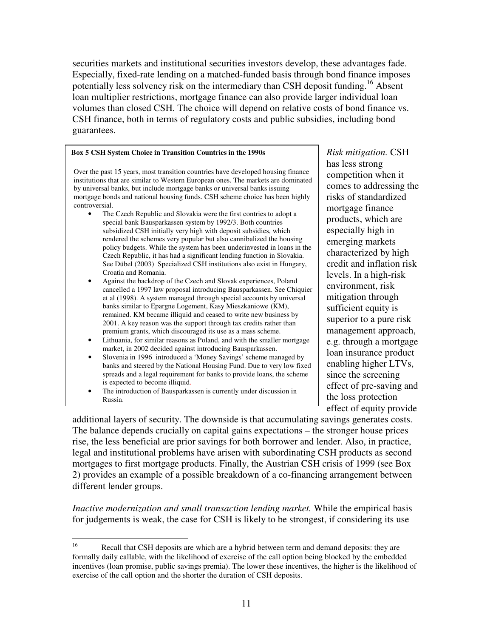securities markets and institutional securities investors develop, these advantages fade. Especially, fixed-rate lending on a matched-funded basis through bond finance imposes potentially less solvency risk on the intermediary than CSH deposit funding.<sup>16</sup> Absent loan multiplier restrictions, mortgage finance can also provide larger individual loan volumes than closed CSH. The choice will depend on relative costs of bond finance vs. CSH finance, both in terms of regulatory costs and public subsidies, including bond guarantees.

#### **Box 5 CSH System Choice in Transition Countries in the 1990s**

Over the past 15 years, most transition countries have developed housing finance institutions that are similar to Western European ones. The markets are dominated by universal banks, but include mortgage banks or universal banks issuing mortgage bonds and national housing funds. CSH scheme choice has been highly controversial.

- The Czech Republic and Slovakia were the first contries to adopt a special bank Bausparkassen system by 1992/3. Both countries subsidized CSH initially very high with deposit subsidies, which rendered the schemes very popular but also cannibalized the housing policy budgets. While the system has been underinvested in loans in the Czech Republic, it has had a significant lending function in Slovakia. See Dübel (2003) Specialized CSH institutions also exist in Hungary, Croatia and Romania.
- Against the backdrop of the Czech and Slovak experiences, Poland cancelled a 1997 law proposal introducing Bausparkassen. See Chiquier et al (1998). A system managed through special accounts by universal banks similar to Epargne Logement, Kasy Mieszkaniowe (KM), remained. KM became illiquid and ceased to write new business by 2001. A key reason was the support through tax credits rather than premium grants, which discouraged its use as a mass scheme.
- Lithuania, for similar reasons as Poland, and with the smaller mortgage market, in 2002 decided against introducing Bausparkassen.
- Slovenia in 1996 introduced a 'Money Savings' scheme managed by banks and steered by the National Housing Fund. Due to very low fixed spreads and a legal requirement for banks to provide loans, the scheme is expected to become illiquid.
- The introduction of Bausparkassen is currently under discussion in Russia.

*Risk mitigation.* CSH has less strong competition when it comes to addressing the risks of standardized mortgage finance products, which are especially high in emerging markets characterized by high credit and inflation risk levels. In a high-risk environment, risk mitigation through sufficient equity is superior to a pure risk management approach, e.g. through a mortgage loan insurance product enabling higher LTVs, since the screening effect of pre-saving and the loss protection effect of equity provide

additional layers of security. The downside is that accumulating savings generates costs. The balance depends crucially on capital gains expectations – the stronger house prices rise, the less beneficial are prior savings for both borrower and lender. Also, in practice, legal and institutional problems have arisen with subordinating CSH products as second mortgages to first mortgage products. Finally, the Austrian CSH crisis of 1999 (see Box 2) provides an example of a possible breakdown of a co-financing arrangement between different lender groups.

*Inactive modernization and small transaction lending market.* While the empirical basis for judgements is weak, the case for CSH is likely to be strongest, if considering its use

<sup>16</sup> Recall that CSH deposits are which are a hybrid between term and demand deposits: they are formally daily callable, with the likelihood of exercise of the call option being blocked by the embedded incentives (loan promise, public savings premia). The lower these incentives, the higher is the likelihood of exercise of the call option and the shorter the duration of CSH deposits.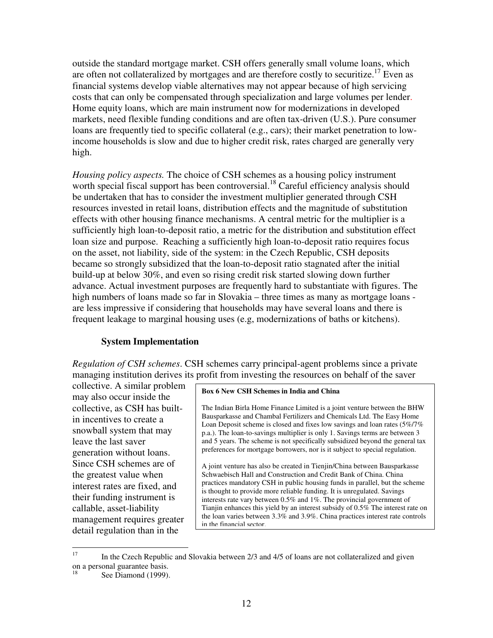outside the standard mortgage market. CSH offers generally small volume loans, which are often not collateralized by mortgages and are therefore costly to securitize.<sup>17</sup> Even as financial systems develop viable alternatives may not appear because of high servicing costs that can only be compensated through specialization and large volumes per lender. Home equity loans, which are main instrument now for modernizations in developed markets, need flexible funding conditions and are often tax-driven (U.S.). Pure consumer loans are frequently tied to specific collateral (e.g., cars); their market penetration to lowincome households is slow and due to higher credit risk, rates charged are generally very high.

*Housing policy aspects.* The choice of CSH schemes as a housing policy instrument worth special fiscal support has been controversial.<sup>18</sup> Careful efficiency analysis should be undertaken that has to consider the investment multiplier generated through CSH resources invested in retail loans, distribution effects and the magnitude of substitution effects with other housing finance mechanisms. A central metric for the multiplier is a sufficiently high loan-to-deposit ratio, a metric for the distribution and substitution effect loan size and purpose. Reaching a sufficiently high loan-to-deposit ratio requires focus on the asset, not liability, side of the system: in the Czech Republic, CSH deposits became so strongly subsidized that the loan-to-deposit ratio stagnated after the initial build-up at below 30%, and even so rising credit risk started slowing down further advance. Actual investment purposes are frequently hard to substantiate with figures. The high numbers of loans made so far in Slovakia – three times as many as mortgage loans are less impressive if considering that households may have several loans and there is frequent leakage to marginal housing uses (e.g, modernizations of baths or kitchens).

### **System Implementation**

*Regulation of CSH schemes*. CSH schemes carry principal-agent problems since a private managing institution derives its profit from investing the resources on behalf of the saver

collective. A similar problem may also occur inside the collective, as CSH has builtin incentives to create a snowball system that may leave the last saver generation without loans. Since CSH schemes are of the greatest value when interest rates are fixed, and their funding instrument is callable, asset-liability management requires greater detail regulation than in the

#### **Box 6 New CSH Schemes in India and China**

The Indian Birla Home Finance Limited is a joint venture between the BHW Bausparkasse and Chambal Fertilizers and Chemicals Ltd. The Easy Home Loan Deposit scheme is closed and fixes low savings and loan rates (5%/7% p.a.). The loan-to-savings multiplier is only 1. Savings terms are between 3 and 5 years. The scheme is not specifically subsidized beyond the general tax preferences for mortgage borrowers, nor is it subject to special regulation.

A joint venture has also be created in Tienjin/China between Bausparkasse Schwaebisch Hall and Construction and Credit Bank of China. China practices mandatory CSH in public housing funds in parallel, but the scheme is thought to provide more reliable funding. It is unregulated. Savings interests rate vary between 0.5% and 1%. The provincial government of Tianjin enhances this yield by an interest subsidy of 0.5% The interest rate on the loan varies between 3.3% and 3.9%. China practices interest rate controls in the financial sector.

<sup>17</sup> <sup>17</sup> In the Czech Republic and Slovakia between 2/3 and 4/5 of loans are not collateralized and given on a personal guarantee basis.

See Diamond (1999).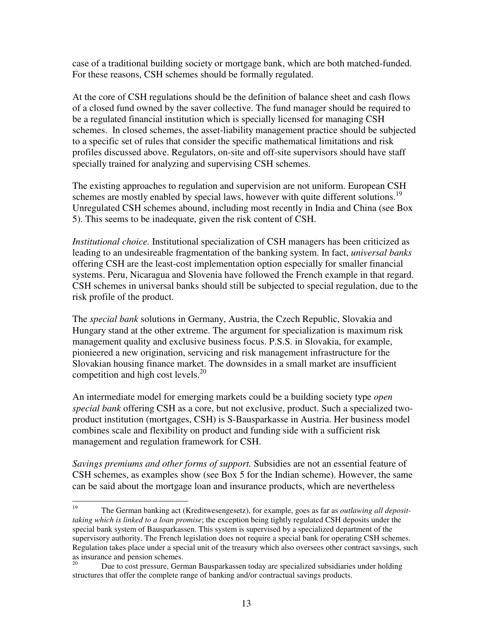case of a traditional building society or mortgage bank, which are both matched-funded. For these reasons, CSH schemes should be formally regulated.

At the core of CSH regulations should be the definition of balance sheet and cash flows of a closed fund owned by the saver collective. The fund manager should be required to be a regulated financial institution which is specially licensed for managing CSH schemes. In closed schemes, the asset-liability management practice should be subjected to a specific set of rules that consider the specific mathematical limitations and risk profiles discussed above. Regulators, on-site and off-site supervisors should have staff specially trained for analyzing and supervising CSH schemes.

The existing approaches to regulation and supervision are not uniform. European CSH schemes are mostly enabled by special laws, however with quite different solutions.<sup>19</sup> Unregulated CSH schemes abound, including most recently in India and China (see Box 5). This seems to be inadequate, given the risk content of CSH.

*Institutional choice.* Institutional specialization of CSH managers has been criticized as leading to an undesireable fragmentation of the banking system. In fact, *universal banks*  offering CSH are the least-cost implementation option especially for smaller financial systems. Peru, Nicaragua and Slovenia have followed the French example in that regard. CSH schemes in universal banks should still be subjected to special regulation, due to the risk profile of the product.

The *special bank* solutions in Germany, Austria, the Czech Republic, Slovakia and Hungary stand at the other extreme. The argument for specialization is maximum risk management quality and exclusive business focus. P.S.S. in Slovakia, for example, pionieered a new origination, servicing and risk management infrastructure for the Slovakian housing finance market. The downsides in a small market are insufficient competition and high cost levels. $^{20}$ 

An intermediate model for emerging markets could be a building society type *open special bank* offering CSH as a core, but not exclusive, product. Such a specialized twoproduct institution (mortgages, CSH) is S-Bausparkasse in Austria. Her business model combines scale and flexibility on product and funding side with a sufficient risk management and regulation framework for CSH.

*Savings premiums and other forms of support.* Subsidies are not an essential feature of CSH schemes, as examples show (see Box 5 for the Indian scheme). However, the same can be said about the mortgage loan and insurance products, which are nevertheless

<sup>19</sup> <sup>19</sup> The German banking act (Kreditwesengesetz), for example, goes as far as *outlawing all deposittaking which is linked to a loan promise*; the exception being tightly regulated CSH deposits under the special bank system of Bausparkassen. This system is supervised by a specialized department of the supervisory authority. The French legislation does not require a special bank for operating CSH schemes. Regulation takes place under a special unit of the treasury which also oversees other contract savsings, such as insurance and pension schemes.<br><sup>20</sup> Due to gost pressure Gore

<sup>20</sup> Due to cost pressure, German Bausparkassen today are specialized subsidiaries under holding structures that offer the complete range of banking and/or contractual savings products.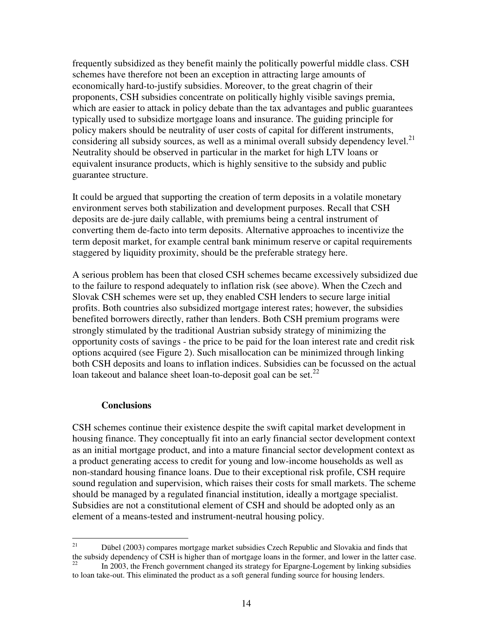frequently subsidized as they benefit mainly the politically powerful middle class. CSH schemes have therefore not been an exception in attracting large amounts of economically hard-to-justify subsidies. Moreover, to the great chagrin of their proponents, CSH subsidies concentrate on politically highly visible savings premia, which are easier to attack in policy debate than the tax advantages and public guarantees typically used to subsidize mortgage loans and insurance. The guiding principle for policy makers should be neutrality of user costs of capital for different instruments, considering all subsidy sources, as well as a minimal overall subsidy dependency level.<sup>21</sup> Neutrality should be observed in particular in the market for high LTV loans or equivalent insurance products, which is highly sensitive to the subsidy and public guarantee structure.

It could be argued that supporting the creation of term deposits in a volatile monetary environment serves both stabilization and development purposes. Recall that CSH deposits are de-jure daily callable, with premiums being a central instrument of converting them de-facto into term deposits. Alternative approaches to incentivize the term deposit market, for example central bank minimum reserve or capital requirements staggered by liquidity proximity, should be the preferable strategy here.

A serious problem has been that closed CSH schemes became excessively subsidized due to the failure to respond adequately to inflation risk (see above). When the Czech and Slovak CSH schemes were set up, they enabled CSH lenders to secure large initial profits. Both countries also subsidized mortgage interest rates; however, the subsidies benefited borrowers directly, rather than lenders. Both CSH premium programs were strongly stimulated by the traditional Austrian subsidy strategy of minimizing the opportunity costs of savings - the price to be paid for the loan interest rate and credit risk options acquired (see Figure 2). Such misallocation can be minimized through linking both CSH deposits and loans to inflation indices. Subsidies can be focussed on the actual loan takeout and balance sheet loan-to-deposit goal can be set. $^{22}$ 

### **Conclusions**

CSH schemes continue their existence despite the swift capital market development in housing finance. They conceptually fit into an early financial sector development context as an initial mortgage product, and into a mature financial sector development context as a product generating access to credit for young and low-income households as well as non-standard housing finance loans. Due to their exceptional risk profile, CSH require sound regulation and supervision, which raises their costs for small markets. The scheme should be managed by a regulated financial institution, ideally a mortgage specialist. Subsidies are not a constitutional element of CSH and should be adopted only as an element of a means-tested and instrument-neutral housing policy.

 $21\,$ <sup>21</sup> Dübel (2003) compares mortgage market subsidies Czech Republic and Slovakia and finds that the subsidy dependency of CSH is higher than of mortgage loans in the former, and lower in the latter case. <sup>22</sup> In 2003, the French government changed its strategy for Epargne-Logement by linking subsidies

to loan take-out. This eliminated the product as a soft general funding source for housing lenders.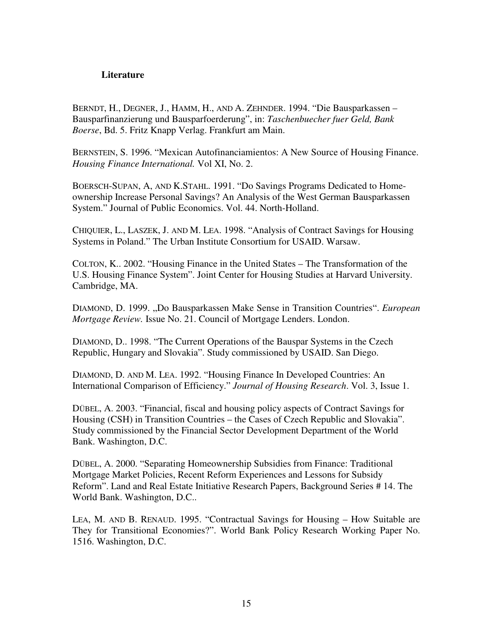### **Literature**

BERNDT, H., DEGNER, J., HAMM, H., AND A. ZEHNDER. 1994. "Die Bausparkassen – Bausparfinanzierung und Bausparfoerderung", in: *Taschenbuecher fuer Geld, Bank Boerse*, Bd. 5. Fritz Knapp Verlag. Frankfurt am Main.

BERNSTEIN, S. 1996. "Mexican Autofinanciamientos: A New Source of Housing Finance. *Housing Finance International.* Vol XI, No. 2.

BOERSCH-SUPAN, A, AND K.STAHL. 1991. "Do Savings Programs Dedicated to Homeownership Increase Personal Savings? An Analysis of the West German Bausparkassen System." Journal of Public Economics. Vol. 44. North-Holland.

CHIQUIER, L., LASZEK, J. AND M. LEA. 1998. "Analysis of Contract Savings for Housing Systems in Poland." The Urban Institute Consortium for USAID. Warsaw.

COLTON, K.. 2002. "Housing Finance in the United States – The Transformation of the U.S. Housing Finance System". Joint Center for Housing Studies at Harvard University. Cambridge, MA.

DIAMOND, D. 1999. "Do Bausparkassen Make Sense in Transition Countries". *European Mortgage Review.* Issue No. 21. Council of Mortgage Lenders. London.

DIAMOND, D.. 1998. "The Current Operations of the Bauspar Systems in the Czech Republic, Hungary and Slovakia". Study commissioned by USAID. San Diego.

DIAMOND, D. AND M. LEA. 1992. "Housing Finance In Developed Countries: An International Comparison of Efficiency." *Journal of Housing Research*. Vol. 3, Issue 1.

DÜBEL, A. 2003. "Financial, fiscal and housing policy aspects of Contract Savings for Housing (CSH) in Transition Countries – the Cases of Czech Republic and Slovakia". Study commissioned by the Financial Sector Development Department of the World Bank. Washington, D.C.

DÜBEL, A. 2000. "Separating Homeownership Subsidies from Finance: Traditional Mortgage Market Policies, Recent Reform Experiences and Lessons for Subsidy Reform". Land and Real Estate Initiative Research Papers, Background Series # 14. The World Bank. Washington, D.C..

LEA, M. AND B. RENAUD. 1995. "Contractual Savings for Housing – How Suitable are They for Transitional Economies?". World Bank Policy Research Working Paper No. 1516. Washington, D.C.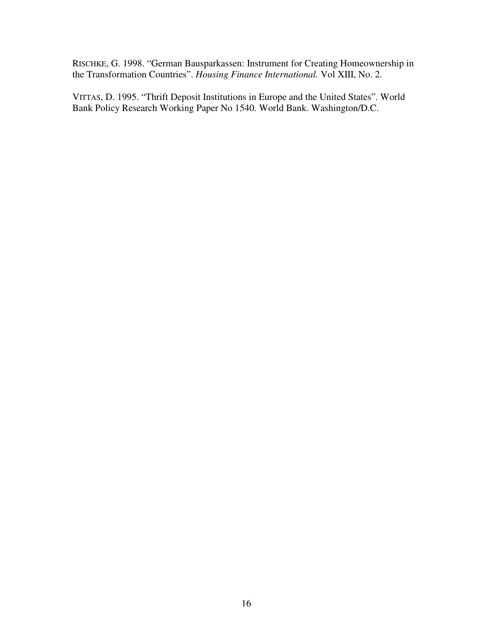RISCHKE, G. 1998. "German Bausparkassen: Instrument for Creating Homeownership in the Transformation Countries". *Housing Finance International.* Vol XIII, No. 2.

VITTAS, D. 1995. "Thrift Deposit Institutions in Europe and the United States". World Bank Policy Research Working Paper No 1540. World Bank. Washington/D.C.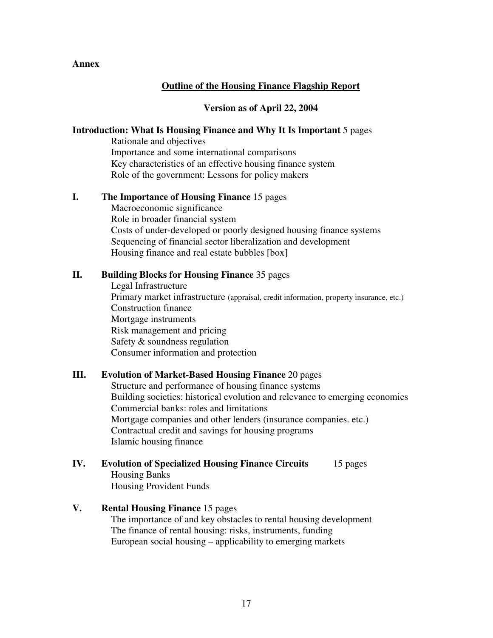### **Annex**

# **Outline of the Housing Finance Flagship Report**

### **Version as of April 22, 2004**

### **Introduction: What Is Housing Finance and Why It Is Important** 5 pages

Rationale and objectives Importance and some international comparisons Key characteristics of an effective housing finance system Role of the government: Lessons for policy makers

### **I. The Importance of Housing Finance** 15 pages

Macroeconomic significance Role in broader financial system Costs of under-developed or poorly designed housing finance systems Sequencing of financial sector liberalization and development Housing finance and real estate bubbles [box]

### **II. Building Blocks for Housing Finance** 35 pages

Legal Infrastructure Primary market infrastructure (appraisal, credit information, property insurance, etc.) Construction finance Mortgage instruments Risk management and pricing Safety & soundness regulation Consumer information and protection

### **III. Evolution of Market-Based Housing Finance** 20 pages

Structure and performance of housing finance systems Building societies: historical evolution and relevance to emerging economies Commercial banks: roles and limitations Mortgage companies and other lenders (insurance companies. etc.) Contractual credit and savings for housing programs Islamic housing finance

# **IV. Evolution of Specialized Housing Finance Circuits** 15 pages Housing Banks

Housing Provident Funds

# **V. Rental Housing Finance** 15 pages

The importance of and key obstacles to rental housing development The finance of rental housing: risks, instruments, funding European social housing – applicability to emerging markets